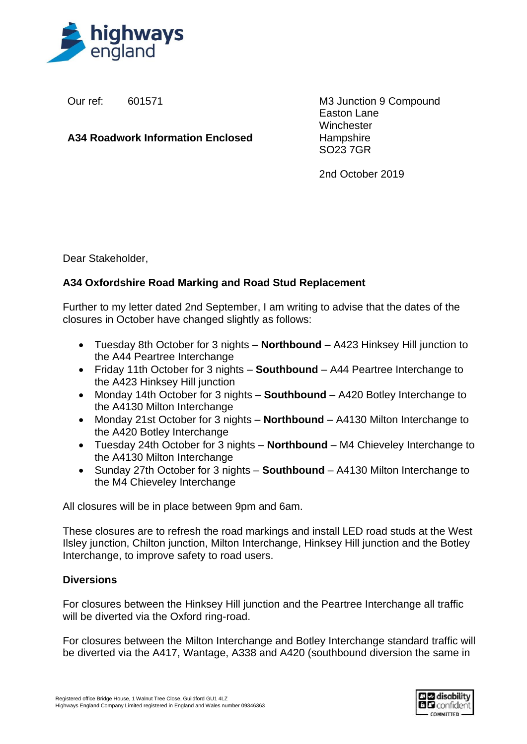

Our ref: 601571

**A34 Roadwork Information Enclosed**

M3 Junction 9 Compound Easton Lane **Winchester Hampshire** SO23 7GR

2nd October 2019

Dear Stakeholder,

## **A34 Oxfordshire Road Marking and Road Stud Replacement**

Further to my letter dated 2nd September, I am writing to advise that the dates of the closures in October have changed slightly as follows:

- Tuesday 8th October for 3 nights **Northbound** A423 Hinksey Hill junction to the A44 Peartree Interchange
- Friday 11th October for 3 nights **Southbound** A44 Peartree Interchange to the A423 Hinksey Hill junction
- Monday 14th October for 3 nights **Southbound** A420 Botley Interchange to the A4130 Milton Interchange
- Monday 21st October for 3 nights **Northbound** A4130 Milton Interchange to the A420 Botley Interchange
- Tuesday 24th October for 3 nights **Northbound** M4 Chieveley Interchange to the A4130 Milton Interchange
- Sunday 27th October for 3 nights **Southbound** A4130 Milton Interchange to the M4 Chieveley Interchange

All closures will be in place between 9pm and 6am.

These closures are to refresh the road markings and install LED road studs at the West Ilsley junction, Chilton junction, Milton Interchange, Hinksey Hill junction and the Botley Interchange, to improve safety to road users.

## **Diversions**

For closures between the Hinksey Hill junction and the Peartree Interchange all traffic will be diverted via the Oxford ring-road.

For closures between the Milton Interchange and Botley Interchange standard traffic will be diverted via the A417, Wantage, A338 and A420 (southbound diversion the same in